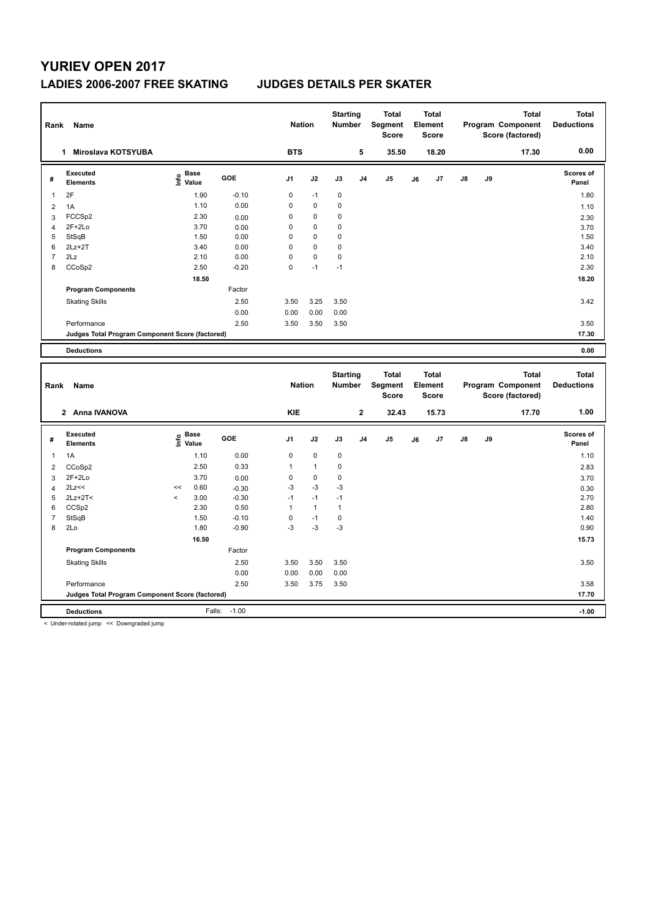# **YURIEV OPEN 2017 LADIES 2006-2007 FREE SKATING JUDGES DETAILS PER SKATER**

| Rank           | Name                                            |                                           |                    | <b>Nation</b>  |              | <b>Starting</b><br>Number        |                | <b>Total</b><br>Segment<br><b>Score</b> |    | <b>Total</b><br>Element<br><b>Score</b> |    |    | <b>Total</b><br>Program Component<br>Score (factored) | <b>Total</b><br><b>Deductions</b> |
|----------------|-------------------------------------------------|-------------------------------------------|--------------------|----------------|--------------|----------------------------------|----------------|-----------------------------------------|----|-----------------------------------------|----|----|-------------------------------------------------------|-----------------------------------|
|                | 1 Miroslava KOTSYUBA                            |                                           |                    | <b>BTS</b>     |              |                                  | 5              | 35.50                                   |    | 18.20                                   |    |    | 17.30                                                 | 0.00                              |
| #              | <b>Executed</b><br><b>Elements</b>              | e Base<br>E Value                         | GOE                | J <sub>1</sub> | J2           | J3                               | J <sub>4</sub> | J <sub>5</sub>                          | J6 | J7                                      | J8 | J9 |                                                       | <b>Scores of</b><br>Panel         |
| 1              | 2F                                              | 1.90                                      | $-0.10$            | 0              | $-1$         | $\pmb{0}$                        |                |                                         |    |                                         |    |    |                                                       | 1.80                              |
| $\overline{c}$ | 1A                                              | 1.10                                      | 0.00               | 0              | 0            | 0                                |                |                                         |    |                                         |    |    |                                                       | 1.10                              |
| 3              | FCCSp2                                          | 2.30                                      | 0.00               | 0              | 0            | 0                                |                |                                         |    |                                         |    |    |                                                       | 2.30                              |
| 4              | 2F+2Lo                                          | 3.70                                      | 0.00               | 0              | 0            | 0                                |                |                                         |    |                                         |    |    |                                                       | 3.70                              |
| 5              | StSqB                                           | 1.50                                      | 0.00               | 0              | 0            | 0                                |                |                                         |    |                                         |    |    |                                                       | 1.50                              |
| 6              | $2Lz+2T$                                        | 3.40                                      | 0.00               | 0              | $\mathbf 0$  | 0                                |                |                                         |    |                                         |    |    |                                                       | 3.40                              |
| $\overline{7}$ | 2Lz                                             | 2.10                                      | 0.00               | 0              | $\pmb{0}$    | 0                                |                |                                         |    |                                         |    |    |                                                       | 2.10                              |
| 8              | CCoSp2                                          | 2.50                                      | $-0.20$            | 0              | $-1$         | $-1$                             |                |                                         |    |                                         |    |    |                                                       | 2.30                              |
|                |                                                 | 18.50                                     |                    |                |              |                                  |                |                                         |    |                                         |    |    |                                                       | 18.20                             |
|                | <b>Program Components</b>                       |                                           | Factor             |                |              |                                  |                |                                         |    |                                         |    |    |                                                       |                                   |
|                | <b>Skating Skills</b>                           |                                           | 2.50               | 3.50           | 3.25         | 3.50                             |                |                                         |    |                                         |    |    |                                                       | 3.42                              |
|                |                                                 |                                           | 0.00               | 0.00           | 0.00         | 0.00                             |                |                                         |    |                                         |    |    |                                                       |                                   |
|                | Performance                                     |                                           | 2.50               | 3.50           | 3.50         | 3.50                             |                |                                         |    |                                         |    |    |                                                       | 3.50                              |
|                | Judges Total Program Component Score (factored) |                                           |                    |                |              |                                  |                |                                         |    |                                         |    |    |                                                       | 17.30                             |
|                | <b>Deductions</b>                               |                                           |                    |                |              |                                  |                |                                         |    |                                         |    |    |                                                       | 0.00                              |
|                |                                                 |                                           |                    |                |              |                                  |                |                                         |    |                                         |    |    |                                                       |                                   |
|                |                                                 |                                           |                    |                |              |                                  |                |                                         |    |                                         |    |    |                                                       |                                   |
| Rank           | Name                                            |                                           |                    | <b>Nation</b>  |              | <b>Starting</b><br><b>Number</b> |                | <b>Total</b><br>Segment<br><b>Score</b> |    | <b>Total</b><br>Element<br><b>Score</b> |    |    | <b>Total</b><br>Program Component<br>Score (factored) | <b>Total</b><br><b>Deductions</b> |
|                | 2 Anna IVANOVA                                  |                                           |                    | <b>KIE</b>     |              |                                  | $\mathbf 2$    | 32.43                                   |    | 15.73                                   |    |    | 17.70                                                 | 1.00                              |
| #              | <b>Executed</b><br><b>Elements</b>              | $\frac{e}{E}$ Base<br>$\frac{e}{E}$ Value | GOE                | J1             | J2           | J3                               | J <sub>4</sub> | J <sub>5</sub>                          | J6 | J7                                      | J8 | J9 |                                                       | <b>Scores of</b><br>Panel         |
| 1              | 1A                                              | 1.10                                      | 0.00               | 0              | $\mathbf 0$  | $\pmb{0}$                        |                |                                         |    |                                         |    |    |                                                       | 1.10                              |
|                |                                                 | 2.50                                      | 0.33               | 1              | $\mathbf{1}$ | 0                                |                |                                         |    |                                         |    |    |                                                       |                                   |
| $\overline{2}$ | CCoSp2<br>$2F+2Lo$                              | 3.70                                      |                    | 0              | $\pmb{0}$    | $\pmb{0}$                        |                |                                         |    |                                         |    |    |                                                       | 2.83                              |
| 3              |                                                 | $\prec$                                   | 0.00               |                |              |                                  |                |                                         |    |                                         |    |    |                                                       | 3.70                              |
| 4<br>5         | 2Lz<<<br>$2Lz+2T<$                              | 0.60<br>3.00<br>$\overline{\phantom{a}}$  | $-0.30$<br>$-0.30$ | $-3$<br>$-1$   | $-3$<br>$-1$ | $-3$<br>$-1$                     |                |                                         |    |                                         |    |    |                                                       | 0.30<br>2.70                      |
| 6              | CCS <sub>p2</sub>                               | 2.30                                      | 0.50               | $\mathbf{1}$   | $\mathbf{1}$ | $\mathbf{1}$                     |                |                                         |    |                                         |    |    |                                                       | 2.80                              |
| $\overline{7}$ |                                                 | 1.50                                      | $-0.10$            | 0              | $-1$         | $\pmb{0}$                        |                |                                         |    |                                         |    |    |                                                       | 1.40                              |
| 8              | StSqB<br>2Lo                                    | 1.80                                      | $-0.90$            | $-3$           | $-3$         | $-3$                             |                |                                         |    |                                         |    |    |                                                       | 0.90                              |
|                |                                                 | 16.50                                     |                    |                |              |                                  |                |                                         |    |                                         |    |    |                                                       | 15.73                             |
|                | <b>Program Components</b>                       |                                           | Factor             |                |              |                                  |                |                                         |    |                                         |    |    |                                                       |                                   |
|                |                                                 |                                           | 2.50               | 3.50           | 3.50         | 3.50                             |                |                                         |    |                                         |    |    |                                                       | 3.50                              |
|                | <b>Skating Skills</b>                           |                                           | 0.00               | 0.00           | 0.00         | 0.00                             |                |                                         |    |                                         |    |    |                                                       |                                   |
|                | Performance                                     |                                           | 2.50               | 3.50           | 3.75         | 3.50                             |                |                                         |    |                                         |    |    |                                                       | 3.58                              |
|                | Judges Total Program Component Score (factored) |                                           |                    |                |              |                                  |                |                                         |    |                                         |    |    |                                                       | 17.70                             |
|                | <b>Deductions</b>                               |                                           | $-1.00$<br>Falls:  |                |              |                                  |                |                                         |    |                                         |    |    |                                                       | $-1.00$                           |

< Under-rotated jump << Downgraded jump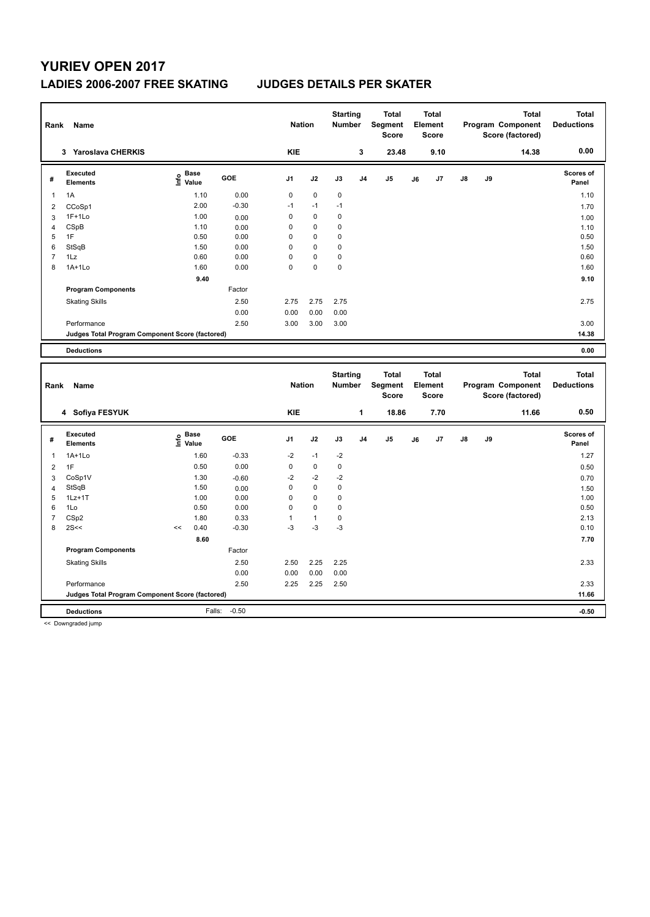# **YURIEV OPEN 2017 LADIES 2006-2007 FREE SKATING JUDGES DETAILS PER SKATER**

| Rank           | Name                                            |                              |         | <b>Nation</b>  |              | <b>Starting</b><br>Number |                | <b>Total</b><br>Segment<br><b>Score</b> |    | <b>Total</b><br>Element<br><b>Score</b> |    |    | <b>Total</b><br>Program Component<br>Score (factored) | <b>Total</b><br><b>Deductions</b> |
|----------------|-------------------------------------------------|------------------------------|---------|----------------|--------------|---------------------------|----------------|-----------------------------------------|----|-----------------------------------------|----|----|-------------------------------------------------------|-----------------------------------|
|                | 3 Yaroslava CHERKIS                             |                              |         | <b>KIE</b>     |              |                           | 3              | 23.48                                   |    | 9.10                                    |    |    | 14.38                                                 | 0.00                              |
| #              | <b>Executed</b><br><b>Elements</b>              | <b>Base</b><br>١nf٥<br>Value | GOE     | J <sub>1</sub> | J2           | J3                        | J <sub>4</sub> | J5                                      | J6 | J7                                      | J8 | J9 |                                                       | Scores of<br>Panel                |
| 1              | 1A                                              | 1.10                         | 0.00    | $\pmb{0}$      | $\pmb{0}$    | $\mathbf 0$               |                |                                         |    |                                         |    |    |                                                       | 1.10                              |
| 2              | CCoSp1                                          | 2.00                         | $-0.30$ | $-1$           | $-1$         | $-1$                      |                |                                         |    |                                         |    |    |                                                       | 1.70                              |
| 3              | $1F+1Lo$                                        | 1.00                         | 0.00    | 0              | $\pmb{0}$    | 0                         |                |                                         |    |                                         |    |    |                                                       | 1.00                              |
| $\overline{4}$ | CSpB                                            | 1.10                         | 0.00    | 0              | $\mathbf 0$  | 0                         |                |                                         |    |                                         |    |    |                                                       | 1.10                              |
| 5              | 1F                                              | 0.50                         | 0.00    | 0              | 0            | 0                         |                |                                         |    |                                         |    |    |                                                       | 0.50                              |
| 6              | StSqB                                           | 1.50                         | 0.00    | 0              | 0            | 0                         |                |                                         |    |                                         |    |    |                                                       | 1.50                              |
| $\overline{7}$ | 1Lz                                             | 0.60                         | 0.00    | 0              | 0            | 0                         |                |                                         |    |                                         |    |    |                                                       | 0.60                              |
| 8              | $1A+1Lo$                                        | 1.60                         | 0.00    | 0              | $\pmb{0}$    | 0                         |                |                                         |    |                                         |    |    |                                                       | 1.60                              |
|                |                                                 | 9.40                         |         |                |              |                           |                |                                         |    |                                         |    |    |                                                       | 9.10                              |
|                | <b>Program Components</b>                       |                              | Factor  |                |              |                           |                |                                         |    |                                         |    |    |                                                       |                                   |
|                | <b>Skating Skills</b>                           |                              | 2.50    | 2.75           | 2.75         | 2.75                      |                |                                         |    |                                         |    |    |                                                       | 2.75                              |
|                |                                                 |                              | 0.00    | 0.00           | 0.00         | 0.00                      |                |                                         |    |                                         |    |    |                                                       |                                   |
|                | Performance                                     |                              | 2.50    | 3.00           | 3.00         | 3.00                      |                |                                         |    |                                         |    |    |                                                       | 3.00                              |
|                | Judges Total Program Component Score (factored) |                              |         |                |              |                           |                |                                         |    |                                         |    |    |                                                       | 14.38                             |
|                | <b>Deductions</b>                               |                              |         |                |              |                           |                |                                         |    |                                         |    |    |                                                       | 0.00                              |
|                |                                                 |                              |         |                |              |                           |                |                                         |    |                                         |    |    |                                                       |                                   |
|                |                                                 |                              |         |                |              |                           |                |                                         |    |                                         |    |    |                                                       |                                   |
|                |                                                 |                              |         |                |              | <b>Starting</b>           |                | <b>Total</b>                            |    | <b>Total</b>                            |    |    | <b>Total</b>                                          | <b>Total</b>                      |
| Rank           | Name                                            |                              |         | <b>Nation</b>  |              | Number                    |                | Segment<br><b>Score</b>                 |    | Element<br><b>Score</b>                 |    |    | Program Component<br>Score (factored)                 | <b>Deductions</b>                 |
|                |                                                 |                              |         |                |              |                           |                |                                         |    |                                         |    |    |                                                       |                                   |
|                | 4 Sofiya FESYUK                                 |                              |         | <b>KIE</b>     |              |                           | 1              | 18.86                                   |    | 7.70                                    |    |    | 11.66                                                 | 0.50                              |
|                | <b>Executed</b>                                 | <b>Base</b>                  |         |                |              |                           |                |                                         |    |                                         |    |    |                                                       | <b>Scores of</b>                  |
| #              | <b>Elements</b>                                 | e Base<br>⊆ Value            | GOE     | J <sub>1</sub> | J2           | J3                        | J <sub>4</sub> | J5                                      | J6 | J7                                      | J8 | J9 |                                                       | Panel                             |
| 1              | $1A+1Lo$                                        | 1.60                         | $-0.33$ | $-2$           | $-1$         | $-2$                      |                |                                         |    |                                         |    |    |                                                       | 1.27                              |
| $\overline{2}$ | 1F                                              | 0.50                         | 0.00    | 0              | $\mathbf 0$  | $\pmb{0}$                 |                |                                         |    |                                         |    |    |                                                       | 0.50                              |
| 3              | CoSp1V                                          | 1.30                         | $-0.60$ | $-2$           | $-2$         | $-2$                      |                |                                         |    |                                         |    |    |                                                       | 0.70                              |
| 4              | StSqB                                           | 1.50                         | 0.00    | $\pmb{0}$      | $\pmb{0}$    | $\pmb{0}$                 |                |                                         |    |                                         |    |    |                                                       | 1.50                              |
| 5              | $1Lz+1T$                                        | 1.00                         | 0.00    | 0              | $\mathbf 0$  | 0                         |                |                                         |    |                                         |    |    |                                                       | 1.00                              |
| 6              | 1Lo                                             | 0.50                         | 0.00    | 0              | $\mathbf 0$  | 0                         |                |                                         |    |                                         |    |    |                                                       | 0.50                              |
| $\overline{7}$ | CSp2                                            | 1.80                         | 0.33    | $\mathbf{1}$   | $\mathbf{1}$ | 0                         |                |                                         |    |                                         |    |    |                                                       | 2.13                              |
| 8              | 2S<<                                            | 0.40<br><<                   | $-0.30$ | $-3$           | $-3$         | $-3$                      |                |                                         |    |                                         |    |    |                                                       | 0.10                              |
|                |                                                 | 8.60                         |         |                |              |                           |                |                                         |    |                                         |    |    |                                                       | 7.70                              |
|                | <b>Program Components</b>                       |                              | Factor  |                |              |                           |                |                                         |    |                                         |    |    |                                                       |                                   |
|                | <b>Skating Skills</b>                           |                              | 2.50    | 2.50           | 2.25         | 2.25                      |                |                                         |    |                                         |    |    |                                                       | 2.33                              |
|                |                                                 |                              | 0.00    | 0.00           | 0.00         | 0.00                      |                |                                         |    |                                         |    |    |                                                       |                                   |
|                | Performance                                     |                              | 2.50    | 2.25           | 2.25         | 2.50                      |                |                                         |    |                                         |    |    |                                                       | 2.33                              |
|                | Judges Total Program Component Score (factored) |                              |         |                |              |                           |                |                                         |    |                                         |    |    |                                                       | 11.66                             |

<< Downgraded jump